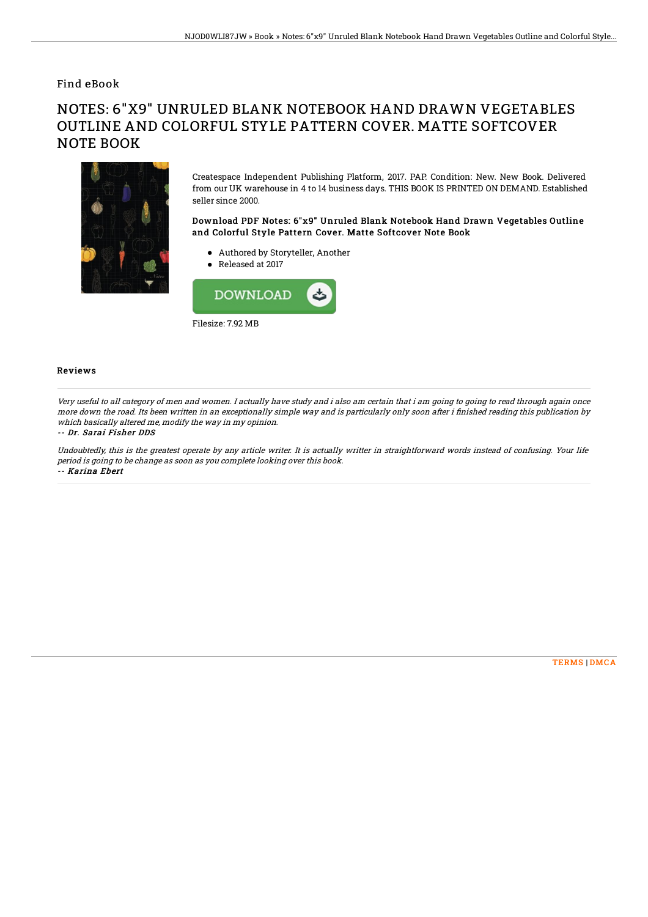Find eBook

# NOTES: 6"X9" UNRULED BLANK NOTEBOOK HAND DRAWN VEGETABLES OUTLINE AND COLORFUL STYLE PATTERN COVER. MATTE SOFTCOVER NOTE BOOK



Createspace Independent Publishing Platform, 2017. PAP. Condition: New. New Book. Delivered from our UK warehouse in 4 to 14 business days. THIS BOOK IS PRINTED ON DEMAND. Established seller since 2000.

### Download PDF Notes: 6"x9" Unruled Blank Notebook Hand Drawn Vegetables Outline and Colorful Style Pattern Cover. Matte Softcover Note Book

- Authored by Storyteller, Another
- Released at 2017



#### Reviews

Very useful to all category of men and women. I actually have study and i also am certain that i am going to going to read through again once more down the road. Its been written in an exceptionally simple way and is particularly only soon after i finished reading this publication by which basically altered me, modify the way in my opinion.

#### -- Dr. Sarai Fisher DDS

Undoubtedly, this is the greatest operate by any article writer. It is actually writter in straightforward words instead of confusing. Your life period is going to be change as soon as you complete looking over this book. -- Karina Ebert